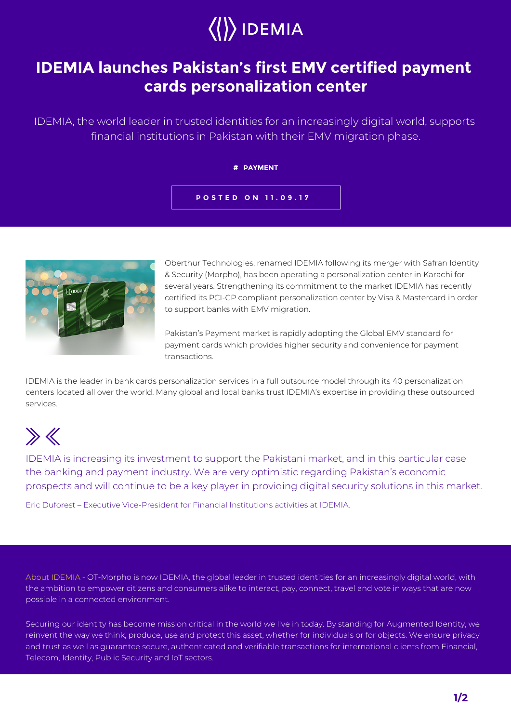

## **IDEMIA launches Pakistan's first EMV certified payment cards personalization center**

IDEMIA, the world leader in trusted identities for an increasingly digital world, supports financial institutions in Pakistan with their EMV migration phase.

### **# PAYMENT**

## **POSTED ON 11.09.17**



Oberthur Technologies, renamed IDEMIA following its merger with Safran Identity & Security (Morpho), has been operating a personalization center in Karachi for several years. Strengthening its commitment to the market IDEMIA has recently certified its PCI-CP compliant personalization center by Visa & Mastercard in order to support banks with EMV migration.

Pakistan's Payment market is rapidly adopting the Global EMV standard for payment cards which provides higher security and convenience for payment transactions.

IDEMIA is the leader in bank cards personalization services in a full outsource model through its 40 personalization centers located all over the world. Many global and local banks trust IDEMIA's expertise in providing these outsourced services.

# $\gg K$

IDEMIA is increasing its investment to support the Pakistani market, and in this particular case the banking and payment industry. We are very optimistic regarding Pakistan's economic prospects and will continue to be a key player in providing digital security solutions in this market.

Eric Duforest – Executive Vice-President for Financial Institutions activities at IDEMIA.

About IDEMIA - OT-Morpho is now IDEMIA, the global leader in trusted identities for an increasingly digital world, with the ambition to empower citizens and consumers alike to interact, pay, connect, travel and vote in ways that are now possible in a connected environment.

Securing our identity has become mission critical in the world we live in today. By standing for Augmented Identity, we reinvent the way we think, produce, use and protect this asset, whether for individuals or for objects. We ensure privacy and trust as well as guarantee secure, authenticated and verifiable transactions for international clients from Financial, Telecom, Identity, Public Security and IoT sectors.